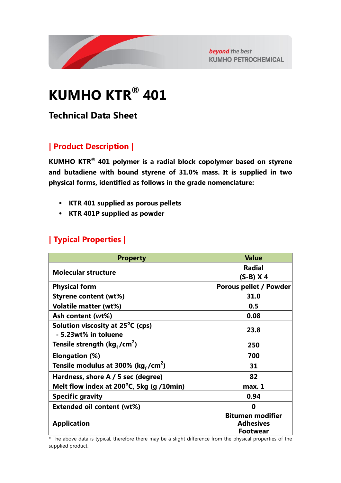

beyond the best **KUMHO PETROCHEMICAL** 

# **KUMHO KTR® 401**

**Technical Data Sheet**

# **| Product Description |**

**KUMHO KTR® 401 polymer is a radial block copolymer based on styrene and butadiene with bound styrene of 31.0% mass. It is supplied in two physical forms, identified as follows in the grade nomenclature:**

- **KTR 401 supplied as porous pellets**
- **KTR 401P supplied as powder**

### **| Typical Properties |**

| <b>Property</b>                                | <b>Value</b>            |
|------------------------------------------------|-------------------------|
| <b>Molecular structure</b>                     | <b>Radial</b>           |
|                                                | $(S-B)$ X 4             |
| <b>Physical form</b>                           | Porous pellet / Powder  |
| <b>Styrene content (wt%)</b>                   | 31.0                    |
| <b>Volatile matter (wt%)</b>                   | 0.5                     |
| Ash content (wt%)                              | 0.08                    |
| Solution viscosity at 25 <sup>°</sup> C (cps)  |                         |
| - 5.23wt% in toluene                           | 23.8                    |
| Tensile strength ( $kg_f/cm^2$ )               | 250                     |
| <b>Elongation (%)</b>                          | 700                     |
| Tensile modulus at 300% (kg,/cm <sup>2</sup> ) | 31                      |
| Hardness, shore A / 5 sec (degree)             | 82                      |
| Melt flow index at 200°C, 5kg (g /10min)       | max. 1                  |
| <b>Specific gravity</b>                        | 0.94                    |
| <b>Extended oil content (wt%)</b>              | Ω                       |
|                                                | <b>Bitumen modifier</b> |
| <b>Application</b>                             | <b>Adhesives</b>        |
|                                                | <b>Footwear</b>         |

\* The above data is typical, therefore there may be a slight difference from the physical properties of the supplied product.